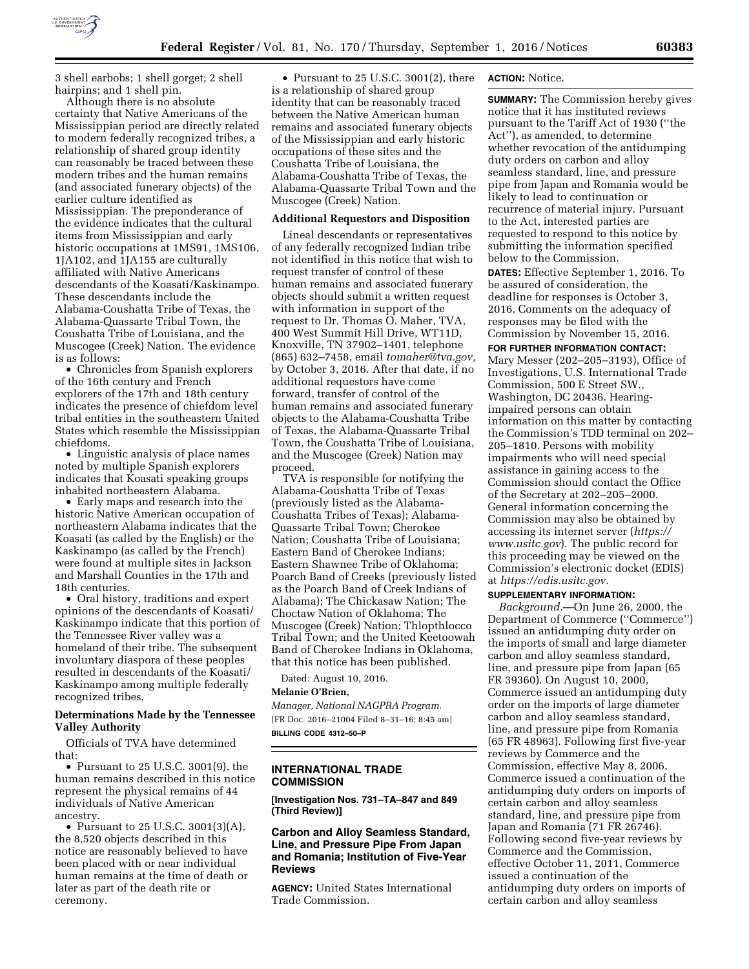

3 shell earbobs; 1 shell gorget; 2 shell hairpins; and 1 shell pin.

Although there is no absolute certainty that Native Americans of the Mississippian period are directly related to modern federally recognized tribes, a relationship of shared group identity can reasonably be traced between these modern tribes and the human remains (and associated funerary objects) of the earlier culture identified as Mississippian. The preponderance of the evidence indicates that the cultural items from Mississippian and early historic occupations at 1MS91, 1MS106, 1JA102, and 1JA155 are culturally affiliated with Native Americans descendants of the Koasati/Kaskinampo. These descendants include the Alabama-Coushatta Tribe of Texas, the Alabama-Quassarte Tribal Town, the Coushatta Tribe of Louisiana, and the Muscogee (Creek) Nation. The evidence is as follows:

• Chronicles from Spanish explorers of the 16th century and French explorers of the 17th and 18th century indicates the presence of chiefdom level tribal entities in the southeastern United States which resemble the Mississippian chiefdoms.

• Linguistic analysis of place names noted by multiple Spanish explorers indicates that Koasati speaking groups inhabited northeastern Alabama.

• Early maps and research into the historic Native American occupation of northeastern Alabama indicates that the Koasati (as called by the English) or the Kaskinampo (as called by the French) were found at multiple sites in Jackson and Marshall Counties in the 17th and 18th centuries.

• Oral history, traditions and expert opinions of the descendants of Koasati/ Kaskinampo indicate that this portion of the Tennessee River valley was a homeland of their tribe. The subsequent involuntary diaspora of these peoples resulted in descendants of the Koasati/ Kaskinampo among multiple federally recognized tribes.

# **Determinations Made by the Tennessee Valley Authority**

Officials of TVA have determined that:

• Pursuant to 25 U.S.C. 3001(9), the human remains described in this notice represent the physical remains of 44 individuals of Native American ancestry.

• Pursuant to 25 U.S.C. 3001(3)(A), the 8,520 objects described in this notice are reasonably believed to have been placed with or near individual human remains at the time of death or later as part of the death rite or ceremony.

• Pursuant to 25 U.S.C. 3001(2), there is a relationship of shared group identity that can be reasonably traced between the Native American human remains and associated funerary objects of the Mississippian and early historic occupations of these sites and the Coushatta Tribe of Louisiana, the Alabama-Coushatta Tribe of Texas, the Alabama-Quassarte Tribal Town and the Muscogee (Creek) Nation.

# **Additional Requestors and Disposition**

Lineal descendants or representatives of any federally recognized Indian tribe not identified in this notice that wish to request transfer of control of these human remains and associated funerary objects should submit a written request with information in support of the request to Dr. Thomas O. Maher, TVA, 400 West Summit Hill Drive, WT11D, Knoxville, TN 37902–1401, telephone (865) 632–7458, email *[tomaher@tva.gov,](mailto:tomaher@tva.gov)*  by October 3, 2016. After that date, if no additional requestors have come forward, transfer of control of the human remains and associated funerary objects to the Alabama-Coushatta Tribe of Texas, the Alabama-Quassarte Tribal Town, the Coushatta Tribe of Louisiana, and the Muscogee (Creek) Nation may proceed.

TVA is responsible for notifying the Alabama-Coushatta Tribe of Texas (previously listed as the Alabama-Coushatta Tribes of Texas); Alabama-Quassarte Tribal Town; Cherokee Nation; Coushatta Tribe of Louisiana; Eastern Band of Cherokee Indians; Eastern Shawnee Tribe of Oklahoma; Poarch Band of Creeks (previously listed as the Poarch Band of Creek Indians of Alabama); The Chickasaw Nation; The Choctaw Nation of Oklahoma; The Muscogee (Creek) Nation; Thlopthlocco Tribal Town; and the United Keetoowah Band of Cherokee Indians in Oklahoma, that this notice has been published.

Dated: August 10, 2016.

### **Melanie O'Brien,**

*Manager, National NAGPRA Program.*  [FR Doc. 2016–21004 Filed 8–31–16; 8:45 am] **BILLING CODE 4312–50–P** 

# **INTERNATIONAL TRADE COMMISSION**

**[Investigation Nos. 731–TA–847 and 849 (Third Review)]** 

# **Carbon and Alloy Seamless Standard, Line, and Pressure Pipe From Japan and Romania; Institution of Five-Year Reviews**

**AGENCY:** United States International Trade Commission.

# **ACTION:** Notice.

**SUMMARY:** The Commission hereby gives notice that it has instituted reviews pursuant to the Tariff Act of 1930 (''the Act''), as amended, to determine whether revocation of the antidumping duty orders on carbon and alloy seamless standard, line, and pressure pipe from Japan and Romania would be likely to lead to continuation or recurrence of material injury. Pursuant to the Act, interested parties are requested to respond to this notice by submitting the information specified below to the Commission.

**DATES:** Effective September 1, 2016. To be assured of consideration, the deadline for responses is October 3, 2016. Comments on the adequacy of responses may be filed with the Commission by November 15, 2016.

**FOR FURTHER INFORMATION CONTACT:**  Mary Messer (202–205–3193), Office of Investigations, U.S. International Trade Commission, 500 E Street SW., Washington, DC 20436. Hearingimpaired persons can obtain information on this matter by contacting the Commission's TDD terminal on 202– 205–1810. Persons with mobility impairments who will need special assistance in gaining access to the Commission should contact the Office of the Secretary at 202–205–2000. General information concerning the Commission may also be obtained by accessing its internet server (*[https://](https://www.usitc.gov) [www.usitc.gov](https://www.usitc.gov)*). The public record for this proceeding may be viewed on the Commission's electronic docket (EDIS) at *[https://edis.usitc.gov.](https://edis.usitc.gov)* 

#### **SUPPLEMENTARY INFORMATION:**

*Background.*—On June 26, 2000, the Department of Commerce (''Commerce'') issued an antidumping duty order on the imports of small and large diameter carbon and alloy seamless standard, line, and pressure pipe from Japan (65 FR 39360). On August 10, 2000, Commerce issued an antidumping duty order on the imports of large diameter carbon and alloy seamless standard, line, and pressure pipe from Romania (65 FR 48963). Following first five-year reviews by Commerce and the Commission, effective May 8, 2006, Commerce issued a continuation of the antidumping duty orders on imports of certain carbon and alloy seamless standard, line, and pressure pipe from Japan and Romania (71 FR 26746). Following second five-year reviews by Commerce and the Commission, effective October 11, 2011, Commerce issued a continuation of the antidumping duty orders on imports of certain carbon and alloy seamless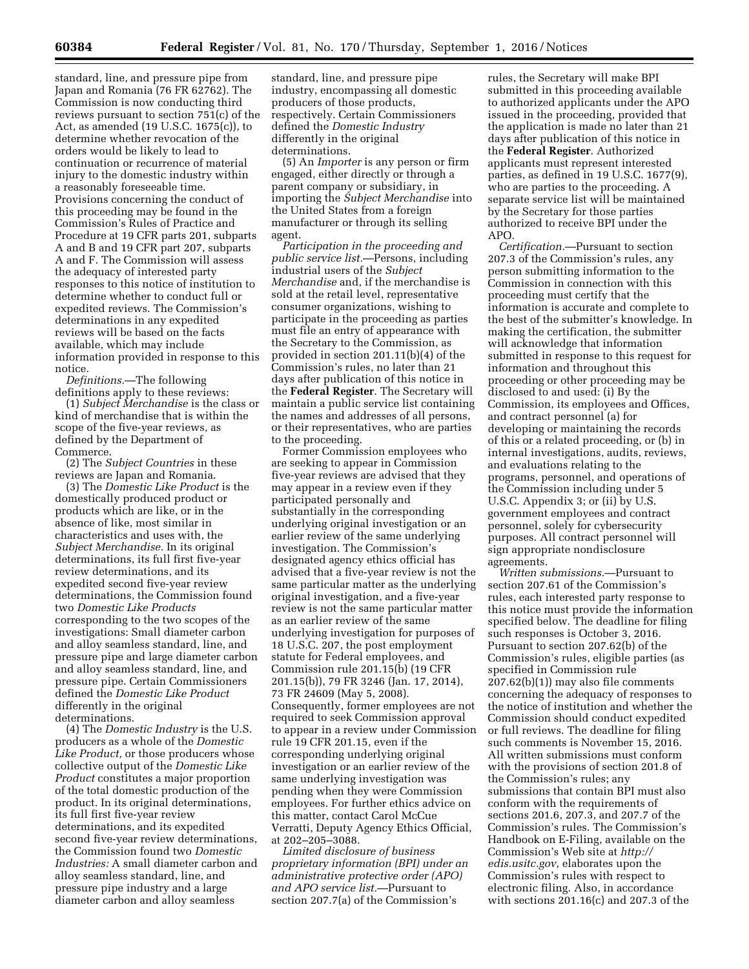standard, line, and pressure pipe from Japan and Romania (76 FR 62762). The Commission is now conducting third reviews pursuant to section 751(c) of the Act, as amended (19 U.S.C. 1675(c)), to determine whether revocation of the orders would be likely to lead to continuation or recurrence of material injury to the domestic industry within a reasonably foreseeable time. Provisions concerning the conduct of this proceeding may be found in the Commission's Rules of Practice and Procedure at 19 CFR parts 201, subparts A and B and 19 CFR part 207, subparts A and F. The Commission will assess the adequacy of interested party responses to this notice of institution to determine whether to conduct full or expedited reviews. The Commission's determinations in any expedited reviews will be based on the facts available, which may include information provided in response to this notice.

*Definitions.*—The following definitions apply to these reviews:

(1) *Subject Merchandise* is the class or kind of merchandise that is within the scope of the five-year reviews, as defined by the Department of Commerce.

(2) The *Subject Countries* in these reviews are Japan and Romania.

(3) The *Domestic Like Product* is the domestically produced product or products which are like, or in the absence of like, most similar in characteristics and uses with, the *Subject Merchandise.* In its original determinations, its full first five-year review determinations, and its expedited second five-year review determinations, the Commission found two *Domestic Like Products*  corresponding to the two scopes of the investigations: Small diameter carbon and alloy seamless standard, line, and pressure pipe and large diameter carbon and alloy seamless standard, line, and pressure pipe. Certain Commissioners defined the *Domestic Like Product*  differently in the original determinations.

(4) The *Domestic Industry* is the U.S. producers as a whole of the *Domestic Like Product,* or those producers whose collective output of the *Domestic Like Product* constitutes a major proportion of the total domestic production of the product. In its original determinations, its full first five-year review determinations, and its expedited second five-year review determinations, the Commission found two *Domestic Industries:* A small diameter carbon and alloy seamless standard, line, and pressure pipe industry and a large diameter carbon and alloy seamless

standard, line, and pressure pipe industry, encompassing all domestic producers of those products, respectively. Certain Commissioners defined the *Domestic Industry*  differently in the original determinations.

(5) An *Importer* is any person or firm engaged, either directly or through a parent company or subsidiary, in importing the *Subject Merchandise* into the United States from a foreign manufacturer or through its selling agent.

*Participation in the proceeding and public service list.*—Persons, including industrial users of the *Subject Merchandise* and, if the merchandise is sold at the retail level, representative consumer organizations, wishing to participate in the proceeding as parties must file an entry of appearance with the Secretary to the Commission, as provided in section 201.11(b)(4) of the Commission's rules, no later than 21 days after publication of this notice in the **Federal Register**. The Secretary will maintain a public service list containing the names and addresses of all persons, or their representatives, who are parties to the proceeding.

Former Commission employees who are seeking to appear in Commission five-year reviews are advised that they may appear in a review even if they participated personally and substantially in the corresponding underlying original investigation or an earlier review of the same underlying investigation. The Commission's designated agency ethics official has advised that a five-year review is not the same particular matter as the underlying original investigation, and a five-year review is not the same particular matter as an earlier review of the same underlying investigation for purposes of 18 U.S.C. 207, the post employment statute for Federal employees, and Commission rule 201.15(b) (19 CFR 201.15(b)), 79 FR 3246 (Jan. 17, 2014), 73 FR 24609 (May 5, 2008). Consequently, former employees are not required to seek Commission approval to appear in a review under Commission rule 19 CFR 201.15, even if the corresponding underlying original investigation or an earlier review of the same underlying investigation was pending when they were Commission employees. For further ethics advice on this matter, contact Carol McCue Verratti, Deputy Agency Ethics Official, at 202–205–3088.

*Limited disclosure of business proprietary information (BPI) under an administrative protective order (APO) and APO service list.*—Pursuant to section 207.7(a) of the Commission's

rules, the Secretary will make BPI submitted in this proceeding available to authorized applicants under the APO issued in the proceeding, provided that the application is made no later than 21 days after publication of this notice in the **Federal Register**. Authorized applicants must represent interested parties, as defined in 19 U.S.C. 1677(9), who are parties to the proceeding. A separate service list will be maintained by the Secretary for those parties authorized to receive BPI under the APO.

*Certification.*—Pursuant to section 207.3 of the Commission's rules, any person submitting information to the Commission in connection with this proceeding must certify that the information is accurate and complete to the best of the submitter's knowledge. In making the certification, the submitter will acknowledge that information submitted in response to this request for information and throughout this proceeding or other proceeding may be disclosed to and used: (i) By the Commission, its employees and Offices, and contract personnel (a) for developing or maintaining the records of this or a related proceeding, or (b) in internal investigations, audits, reviews, and evaluations relating to the programs, personnel, and operations of the Commission including under 5 U.S.C. Appendix 3; or (ii) by U.S. government employees and contract personnel, solely for cybersecurity purposes. All contract personnel will sign appropriate nondisclosure agreements.

*Written submissions.*—Pursuant to section 207.61 of the Commission's rules, each interested party response to this notice must provide the information specified below. The deadline for filing such responses is October 3, 2016. Pursuant to section 207.62(b) of the Commission's rules, eligible parties (as specified in Commission rule 207.62(b)(1)) may also file comments concerning the adequacy of responses to the notice of institution and whether the Commission should conduct expedited or full reviews. The deadline for filing such comments is November 15, 2016. All written submissions must conform with the provisions of section 201.8 of the Commission's rules; any submissions that contain BPI must also conform with the requirements of sections 201.6, 207.3, and 207.7 of the Commission's rules. The Commission's Handbook on E-Filing, available on the Commission's Web site at *[http://](http://edis.usitc.gov) [edis.usitc.gov,](http://edis.usitc.gov)* elaborates upon the Commission's rules with respect to electronic filing. Also, in accordance with sections 201.16(c) and 207.3 of the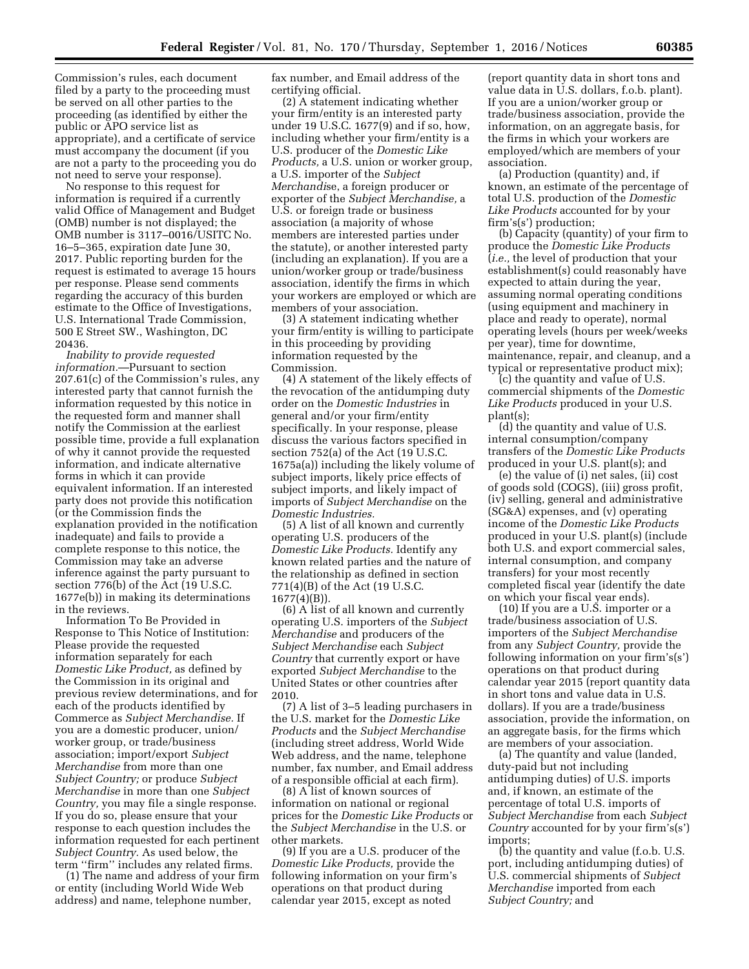Commission's rules, each document filed by a party to the proceeding must be served on all other parties to the proceeding (as identified by either the public or APO service list as appropriate), and a certificate of service must accompany the document (if you are not a party to the proceeding you do not need to serve your response).

No response to this request for information is required if a currently valid Office of Management and Budget (OMB) number is not displayed; the OMB number is 3117–0016/USITC No. 16–5–365, expiration date June 30, 2017. Public reporting burden for the request is estimated to average 15 hours per response. Please send comments regarding the accuracy of this burden estimate to the Office of Investigations, U.S. International Trade Commission, 500 E Street SW., Washington, DC 20436.

*Inability to provide requested information.*—Pursuant to section 207.61(c) of the Commission's rules, any interested party that cannot furnish the information requested by this notice in the requested form and manner shall notify the Commission at the earliest possible time, provide a full explanation of why it cannot provide the requested information, and indicate alternative forms in which it can provide equivalent information. If an interested party does not provide this notification (or the Commission finds the explanation provided in the notification inadequate) and fails to provide a complete response to this notice, the Commission may take an adverse inference against the party pursuant to section 776(b) of the Act (19 U.S.C. 1677e(b)) in making its determinations in the reviews.

Information To Be Provided in Response to This Notice of Institution: Please provide the requested information separately for each *Domestic Like Product,* as defined by the Commission in its original and previous review determinations, and for each of the products identified by Commerce as *Subject Merchandise.* If you are a domestic producer, union/ worker group, or trade/business association; import/export *Subject Merchandise* from more than one *Subject Country;* or produce *Subject Merchandise* in more than one *Subject Country,* you may file a single response. If you do so, please ensure that your response to each question includes the information requested for each pertinent *Subject Country.* As used below, the term ''firm'' includes any related firms.

(1) The name and address of your firm or entity (including World Wide Web address) and name, telephone number,

fax number, and Email address of the certifying official.

(2) A statement indicating whether your firm/entity is an interested party under 19 U.S.C. 1677(9) and if so, how, including whether your firm/entity is a U.S. producer of the *Domestic Like Products,* a U.S. union or worker group, a U.S. importer of the *Subject Merchandi*se, a foreign producer or exporter of the *Subject Merchandise,* a U.S. or foreign trade or business association (a majority of whose members are interested parties under the statute), or another interested party (including an explanation). If you are a union/worker group or trade/business association, identify the firms in which your workers are employed or which are members of your association.

(3) A statement indicating whether your firm/entity is willing to participate in this proceeding by providing information requested by the Commission.

(4) A statement of the likely effects of the revocation of the antidumping duty order on the *Domestic Industries* in general and/or your firm/entity specifically. In your response, please discuss the various factors specified in section 752(a) of the Act (19 U.S.C. 1675a(a)) including the likely volume of subject imports, likely price effects of subject imports, and likely impact of imports of *Subject Merchandise* on the *Domestic Industries.* 

(5) A list of all known and currently operating U.S. producers of the *Domestic Like Products.* Identify any known related parties and the nature of the relationship as defined in section 771(4)(B) of the Act (19 U.S.C. 1677(4)(B)).

(6) A list of all known and currently operating U.S. importers of the *Subject Merchandise* and producers of the *Subject Merchandise* each *Subject Country* that currently export or have exported *Subject Merchandise* to the United States or other countries after 2010.

(7) A list of 3–5 leading purchasers in the U.S. market for the *Domestic Like Products* and the *Subject Merchandise*  (including street address, World Wide Web address, and the name, telephone number, fax number, and Email address of a responsible official at each firm).

(8) A list of known sources of information on national or regional prices for the *Domestic Like Products* or the *Subject Merchandise* in the U.S. or other markets.

(9) If you are a U.S. producer of the *Domestic Like Products,* provide the following information on your firm's operations on that product during calendar year 2015, except as noted

(report quantity data in short tons and value data in U.S. dollars, f.o.b. plant). If you are a union/worker group or trade/business association, provide the information, on an aggregate basis, for the firms in which your workers are employed/which are members of your association.

(a) Production (quantity) and, if known, an estimate of the percentage of total U.S. production of the *Domestic Like Products* accounted for by your firm's(s') production;

(b) Capacity (quantity) of your firm to produce the *Domestic Like Products*  (*i.e.,* the level of production that your establishment(s) could reasonably have expected to attain during the year, assuming normal operating conditions (using equipment and machinery in place and ready to operate), normal operating levels (hours per week/weeks per year), time for downtime, maintenance, repair, and cleanup, and a typical or representative product mix);

(c) the quantity and value of U.S. commercial shipments of the *Domestic Like Products* produced in your U.S. plant(s);

(d) the quantity and value of U.S. internal consumption/company transfers of the *Domestic Like Products*  produced in your U.S. plant(s); and

(e) the value of (i) net sales, (ii) cost of goods sold (COGS), (iii) gross profit, (iv) selling, general and administrative (SG&A) expenses, and (v) operating income of the *Domestic Like Products*  produced in your U.S. plant(s) (include both U.S. and export commercial sales, internal consumption, and company transfers) for your most recently completed fiscal year (identify the date on which your fiscal year ends).

(10) If you are a U.S. importer or a trade/business association of U.S. importers of the *Subject Merchandise*  from any *Subject Country,* provide the following information on your firm's(s') operations on that product during calendar year 2015 (report quantity data in short tons and value data in U.S. dollars). If you are a trade/business association, provide the information, on an aggregate basis, for the firms which are members of your association.

(a) The quantity and value (landed, duty-paid but not including antidumping duties) of U.S. imports and, if known, an estimate of the percentage of total U.S. imports of *Subject Merchandise* from each *Subject Country* accounted for by your firm's(s') imports;

(b) the quantity and value (f.o.b. U.S. port, including antidumping duties) of U.S. commercial shipments of *Subject Merchandise* imported from each *Subject Country;* and